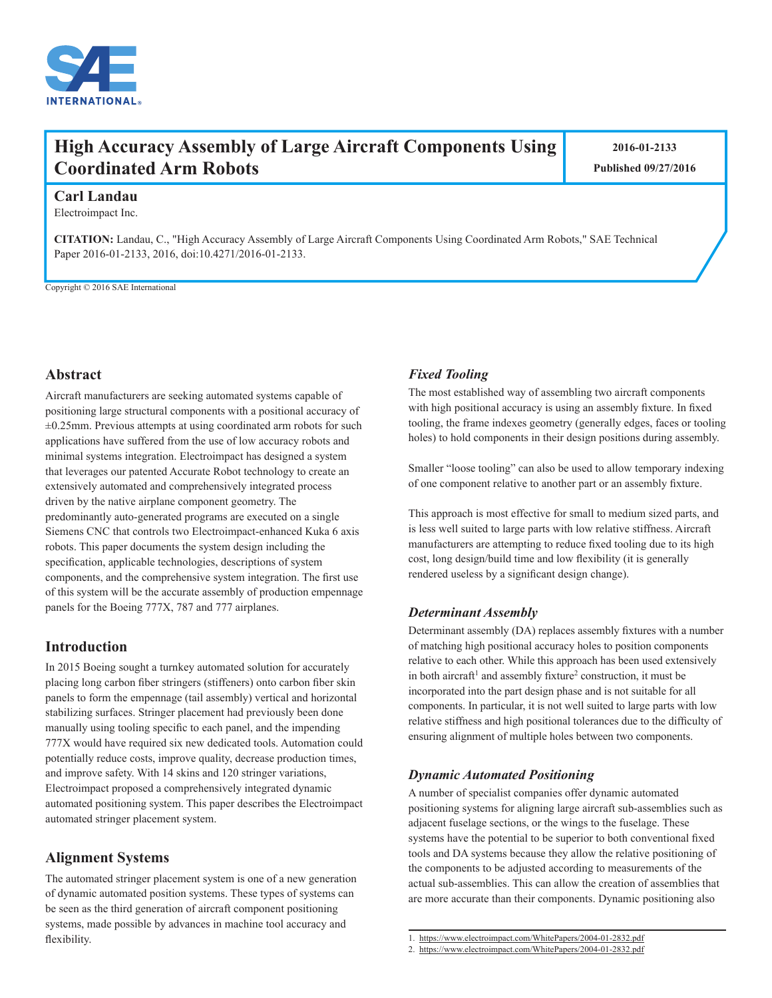

# **High Accuracy Assembly of Large Aircraft Components Using Coordinated Arm Robots**

**2016-01-2133 Published 09/27/2016**

#### **Carl Landau**

Electroimpact Inc.

**CITATION:** Landau, C., "High Accuracy Assembly of Large Aircraft Components Using Coordinated Arm Robots," SAE Technical Paper 2016-01-2133, 2016, doi:10.4271/2016-01-2133.

Copyright © 2016 SAE International

#### **Abstract**

Aircraft manufacturers are seeking automated systems capable of positioning large structural components with a positional accuracy of  $\pm 0.25$ mm. Previous attempts at using coordinated arm robots for such applications have suffered from the use of low accuracy robots and minimal systems integration. Electroimpact has designed a system that leverages our patented Accurate Robot technology to create an extensively automated and comprehensively integrated process driven by the native airplane component geometry. The predominantly auto-generated programs are executed on a single Siemens CNC that controls two Electroimpact-enhanced Kuka 6 axis robots. This paper documents the system design including the specification, applicable technologies, descriptions of system components, and the comprehensive system integration. The first use of this system will be the accurate assembly of production empennage panels for the Boeing 777X, 787 and 777 airplanes.

### **Introduction**

In 2015 Boeing sought a turnkey automated solution for accurately placing long carbon fiber stringers (stiffeners) onto carbon fiber skin panels to form the empennage (tail assembly) vertical and horizontal stabilizing surfaces. Stringer placement had previously been done manually using tooling specific to each panel, and the impending 777X would have required six new dedicated tools. Automation could potentially reduce costs, improve quality, decrease production times, and improve safety. With 14 skins and 120 stringer variations, Electroimpact proposed a comprehensively integrated dynamic automated positioning system. This paper describes the Electroimpact automated stringer placement system.

# **Alignment Systems**

The automated stringer placement system is one of a new generation of dynamic automated position systems. These types of systems can be seen as the third generation of aircraft component positioning systems, made possible by advances in machine tool accuracy and flexibility.

# *Fixed Tooling*

The most established way of assembling two aircraft components with high positional accuracy is using an assembly fixture. In fixed tooling, the frame indexes geometry (generally edges, faces or tooling holes) to hold components in their design positions during assembly.

Smaller "loose tooling" can also be used to allow temporary indexing of one component relative to another part or an assembly fixture.

This approach is most effective for small to medium sized parts, and is less well suited to large parts with low relative stiffness. Aircraft manufacturers are attempting to reduce fixed tooling due to its high cost, long design/build time and low flexibility (it is generally rendered useless by a significant design change).

### *Determinant Assembly*

Determinant assembly (DA) replaces assembly fixtures with a number of matching high positional accuracy holes to position components relative to each other. While this approach has been used extensively in both aircraft<sup>1</sup> and assembly fixture<sup>2</sup> construction, it must be incorporated into the part design phase and is not suitable for all components. In particular, it is not well suited to large parts with low relative stiffness and high positional tolerances due to the difficulty of ensuring alignment of multiple holes between two components.

### *Dynamic Automated Positioning*

A number of specialist companies offer dynamic automated positioning systems for aligning large aircraft sub-assemblies such as adjacent fuselage sections, or the wings to the fuselage. These systems have the potential to be superior to both conventional fixed tools and DA systems because they allow the relative positioning of the components to be adjusted according to measurements of the actual sub-assemblies. This can allow the creation of assemblies that are more accurate than their components. Dynamic positioning also

<sup>1.</sup> https://www.electroimpact.com/WhitePapers/2004-01-2832.pdf

<sup>2.</sup> https://www.electroimpact.com/WhitePapers/2004-01-2832.pdf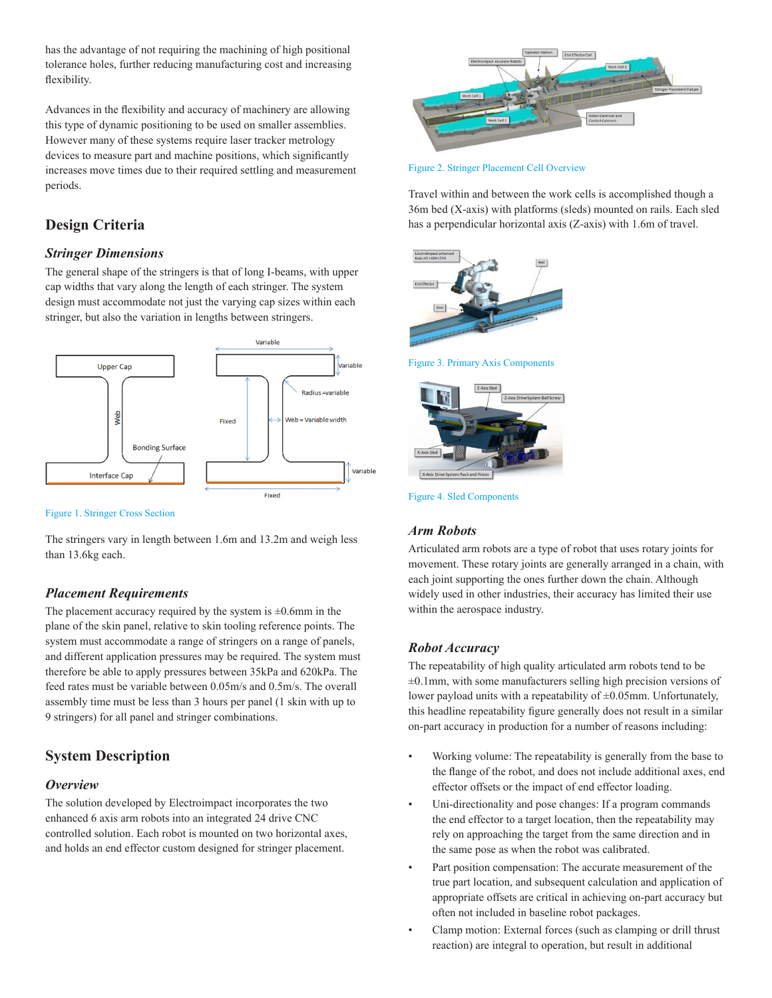has the advantage of not requiring the machining of high positional tolerance holes, further reducing manufacturing cost and increasing flexibility.

Advances in the flexibility and accuracy of machinery are allowing this type of dynamic positioning to be used on smaller assemblies. However many of these systems require laser tracker metrology devices to measure part and machine positions, which significantly increases move times due to their required settling and measurement periods.

# **Design Criteria**

#### *Stringer Dimensions*

The general shape of the stringers is that of long I-beams, with upper cap widths that vary along the length of each stringer. The system design must accommodate not just the varying cap sizes within each stringer, but also the variation in lengths between stringers.



Figure 1. Stringer Cross Section

The stringers vary in length between 1.6m and 13.2m and weigh less than 13.6kg each.

### *Placement Requirements*

The placement accuracy required by the system is  $\pm 0.6$ mm in the plane of the skin panel, relative to skin tooling reference points. The system must accommodate a range of stringers on a range of panels, and different application pressures may be required. The system must therefore be able to apply pressures between 35kPa and 620kPa. The feed rates must be variable between 0.05m/s and 0.5m/s. The overall assembly time must be less than 3 hours per panel (1 skin with up to 9 stringers) for all panel and stringer combinations.

# **System Description**

#### *Overview*

The solution developed by Electroimpact incorporates the two enhanced 6 axis arm robots into an integrated 24 drive CNC controlled solution. Each robot is mounted on two horizontal axes, and holds an end effector custom designed for stringer placement.



#### Figure 2. Stringer Placement Cell Overview

Travel within and between the work cells is accomplished though a 36m bed (X-axis) with platforms (sleds) mounted on rails. Each sled has a perpendicular horizontal axis (Z-axis) with 1.6m of travel.



Figure 3. Primary Axis Components



Figure 4. Sled Components

#### *Arm Robots*

Articulated arm robots are a type of robot that uses rotary joints for movement. These rotary joints are generally arranged in a chain, with each joint supporting the ones further down the chain. Although widely used in other industries, their accuracy has limited their use within the aerospace industry.

### *Robot Accuracy*

The repeatability of high quality articulated arm robots tend to be  $\pm 0.1$  mm, with some manufacturers selling high precision versions of lower payload units with a repeatability of ±0.05mm. Unfortunately, this headline repeatability figure generally does not result in a similar on-part accuracy in production for a number of reasons including:

- Working volume: The repeatability is generally from the base to the flange of the robot, and does not include additional axes, end effector offsets or the impact of end effector loading.
- Uni-directionality and pose changes: If a program commands the end effector to a target location, then the repeatability may rely on approaching the target from the same direction and in the same pose as when the robot was calibrated.
- Part position compensation: The accurate measurement of the true part location, and subsequent calculation and application of appropriate offsets are critical in achieving on-part accuracy but often not included in baseline robot packages.
- Clamp motion: External forces (such as clamping or drill thrust reaction) are integral to operation, but result in additional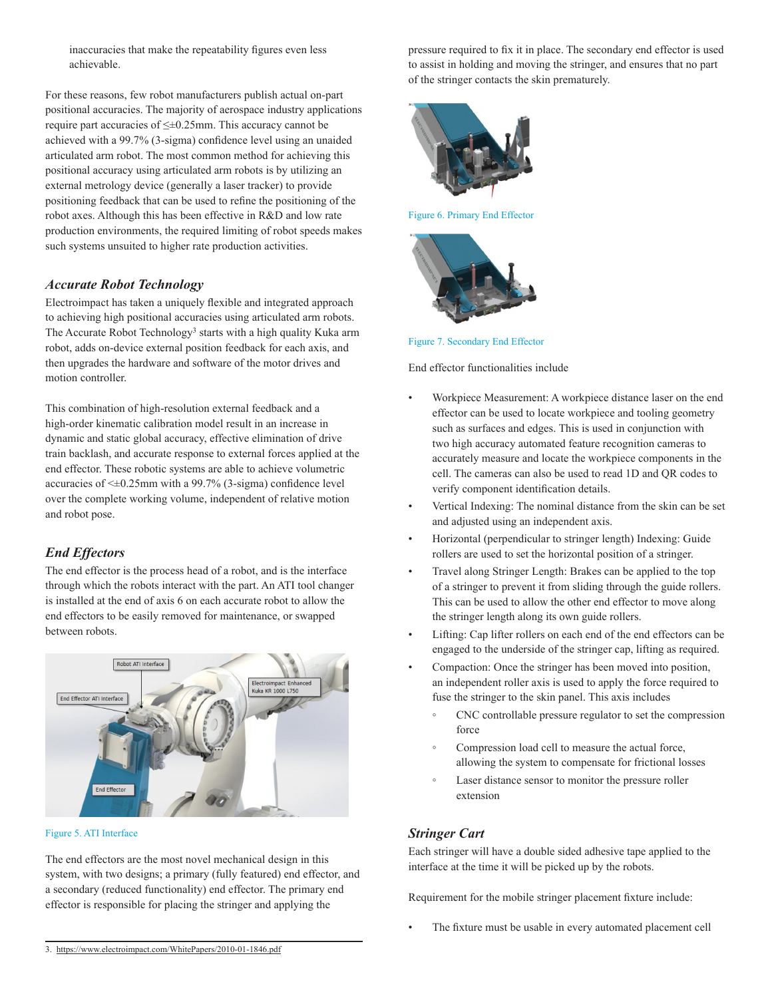inaccuracies that make the repeatability figures even less achievable.

For these reasons, few robot manufacturers publish actual on-part positional accuracies. The majority of aerospace industry applications require part accuracies of ≤±0.25mm. This accuracy cannot be achieved with a 99.7% (3-sigma) confidence level using an unaided articulated arm robot. The most common method for achieving this positional accuracy using articulated arm robots is by utilizing an external metrology device (generally a laser tracker) to provide positioning feedback that can be used to refine the positioning of the robot axes. Although this has been effective in R&D and low rate production environments, the required limiting of robot speeds makes such systems unsuited to higher rate production activities.

### *Accurate Robot Technology*

Electroimpact has taken a uniquely flexible and integrated approach to achieving high positional accuracies using articulated arm robots. The Accurate Robot Technology<sup>3</sup> starts with a high quality Kuka arm robot, adds on-device external position feedback for each axis, and then upgrades the hardware and software of the motor drives and motion controller.

This combination of high-resolution external feedback and a high-order kinematic calibration model result in an increase in dynamic and static global accuracy, effective elimination of drive train backlash, and accurate response to external forces applied at the end effector. These robotic systems are able to achieve volumetric accuracies of <±0.25mm with a 99.7% (3-sigma) confidence level over the complete working volume, independent of relative motion and robot pose.

### *End Effectors*

The end effector is the process head of a robot, and is the interface through which the robots interact with the part. An ATI tool changer is installed at the end of axis 6 on each accurate robot to allow the end effectors to be easily removed for maintenance, or swapped between robots.



#### Figure 5. ATI Interface

The end effectors are the most novel mechanical design in this system, with two designs; a primary (fully featured) end effector, and a secondary (reduced functionality) end effector. The primary end effector is responsible for placing the stringer and applying the

pressure required to fix it in place. The secondary end effector is used to assist in holding and moving the stringer, and ensures that no part of the stringer contacts the skin prematurely.



Figure 6. Primary End Effector



Figure 7. Secondary End Effector

End effector functionalities include

- Workpiece Measurement: A workpiece distance laser on the end effector can be used to locate workpiece and tooling geometry such as surfaces and edges. This is used in conjunction with two high accuracy automated feature recognition cameras to accurately measure and locate the workpiece components in the cell. The cameras can also be used to read 1D and QR codes to verify component identification details.
- Vertical Indexing: The nominal distance from the skin can be set and adjusted using an independent axis.
- Horizontal (perpendicular to stringer length) Indexing: Guide rollers are used to set the horizontal position of a stringer.
- Travel along Stringer Length: Brakes can be applied to the top of a stringer to prevent it from sliding through the guide rollers. This can be used to allow the other end effector to move along the stringer length along its own guide rollers.
- Lifting: Cap lifter rollers on each end of the end effectors can be engaged to the underside of the stringer cap, lifting as required.
- Compaction: Once the stringer has been moved into position, an independent roller axis is used to apply the force required to fuse the stringer to the skin panel. This axis includes
	- CNC controllable pressure regulator to set the compression force
	- Compression load cell to measure the actual force, allowing the system to compensate for frictional losses
	- Laser distance sensor to monitor the pressure roller extension

#### *Stringer Cart*

Each stringer will have a double sided adhesive tape applied to the interface at the time it will be picked up by the robots.

Requirement for the mobile stringer placement fixture include:

The fixture must be usable in every automated placement cell

<sup>3.</sup> https://www.electroimpact.com/WhitePapers/2010-01-1846.pdf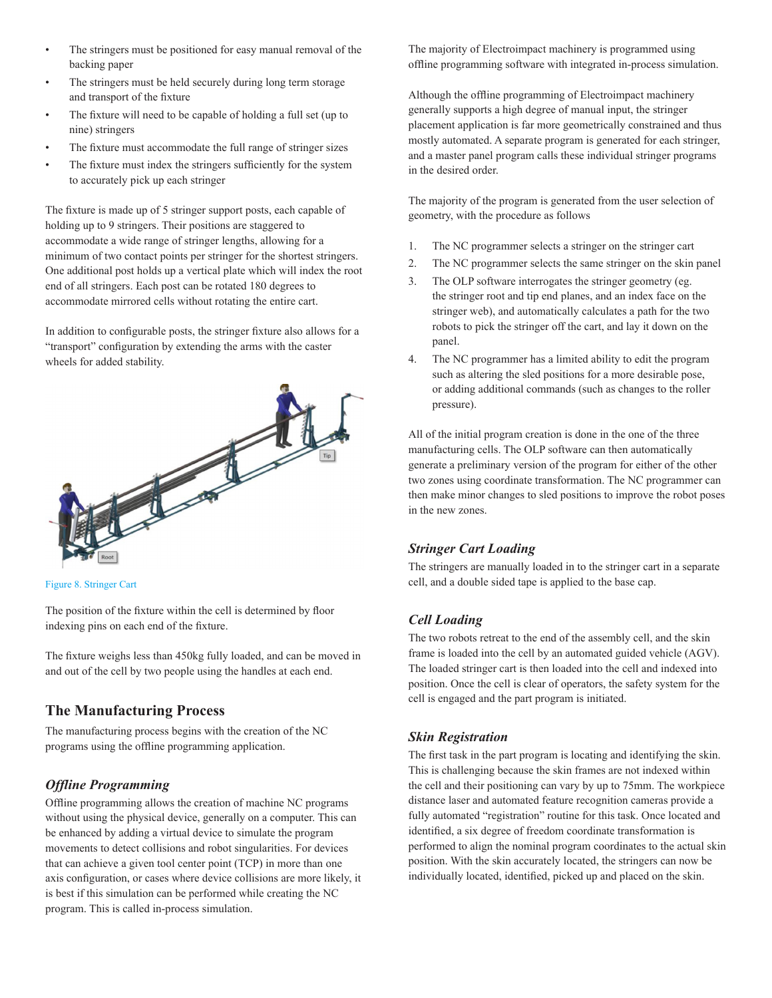- The stringers must be positioned for easy manual removal of the backing paper
- The stringers must be held securely during long term storage and transport of the fixture
- The fixture will need to be capable of holding a full set (up to nine) stringers
- The fixture must accommodate the full range of stringer sizes
- The fixture must index the stringers sufficiently for the system to accurately pick up each stringer

The fixture is made up of 5 stringer support posts, each capable of holding up to 9 stringers. Their positions are staggered to accommodate a wide range of stringer lengths, allowing for a minimum of two contact points per stringer for the shortest stringers. One additional post holds up a vertical plate which will index the root end of all stringers. Each post can be rotated 180 degrees to accommodate mirrored cells without rotating the entire cart.

In addition to configurable posts, the stringer fixture also allows for a "transport" configuration by extending the arms with the caster wheels for added stability.



Figure 8. Stringer Cart

The position of the fixture within the cell is determined by floor indexing pins on each end of the fixture.

The fixture weighs less than 450kg fully loaded, and can be moved in and out of the cell by two people using the handles at each end.

# **The Manufacturing Process**

The manufacturing process begins with the creation of the NC programs using the offline programming application.

# *Offline Programming*

Offline programming allows the creation of machine NC programs without using the physical device, generally on a computer. This can be enhanced by adding a virtual device to simulate the program movements to detect collisions and robot singularities. For devices that can achieve a given tool center point (TCP) in more than one axis configuration, or cases where device collisions are more likely, it is best if this simulation can be performed while creating the NC program. This is called in-process simulation.

The majority of Electroimpact machinery is programmed using offline programming software with integrated in-process simulation.

Although the offline programming of Electroimpact machinery generally supports a high degree of manual input, the stringer placement application is far more geometrically constrained and thus mostly automated. A separate program is generated for each stringer, and a master panel program calls these individual stringer programs in the desired order.

The majority of the program is generated from the user selection of geometry, with the procedure as follows

- 1. The NC programmer selects a stringer on the stringer cart
- 2. The NC programmer selects the same stringer on the skin panel
- 3. The OLP software interrogates the stringer geometry (eg. the stringer root and tip end planes, and an index face on the stringer web), and automatically calculates a path for the two robots to pick the stringer off the cart, and lay it down on the panel.
- 4. The NC programmer has a limited ability to edit the program such as altering the sled positions for a more desirable pose, or adding additional commands (such as changes to the roller pressure).

All of the initial program creation is done in the one of the three manufacturing cells. The OLP software can then automatically generate a preliminary version of the program for either of the other two zones using coordinate transformation. The NC programmer can then make minor changes to sled positions to improve the robot poses in the new zones.

# *Stringer Cart Loading*

The stringers are manually loaded in to the stringer cart in a separate cell, and a double sided tape is applied to the base cap.

# *Cell Loading*

The two robots retreat to the end of the assembly cell, and the skin frame is loaded into the cell by an automated guided vehicle (AGV). The loaded stringer cart is then loaded into the cell and indexed into position. Once the cell is clear of operators, the safety system for the cell is engaged and the part program is initiated.

# *Skin Registration*

The first task in the part program is locating and identifying the skin. This is challenging because the skin frames are not indexed within the cell and their positioning can vary by up to 75mm. The workpiece distance laser and automated feature recognition cameras provide a fully automated "registration" routine for this task. Once located and identified, a six degree of freedom coordinate transformation is performed to align the nominal program coordinates to the actual skin position. With the skin accurately located, the stringers can now be individually located, identified, picked up and placed on the skin.